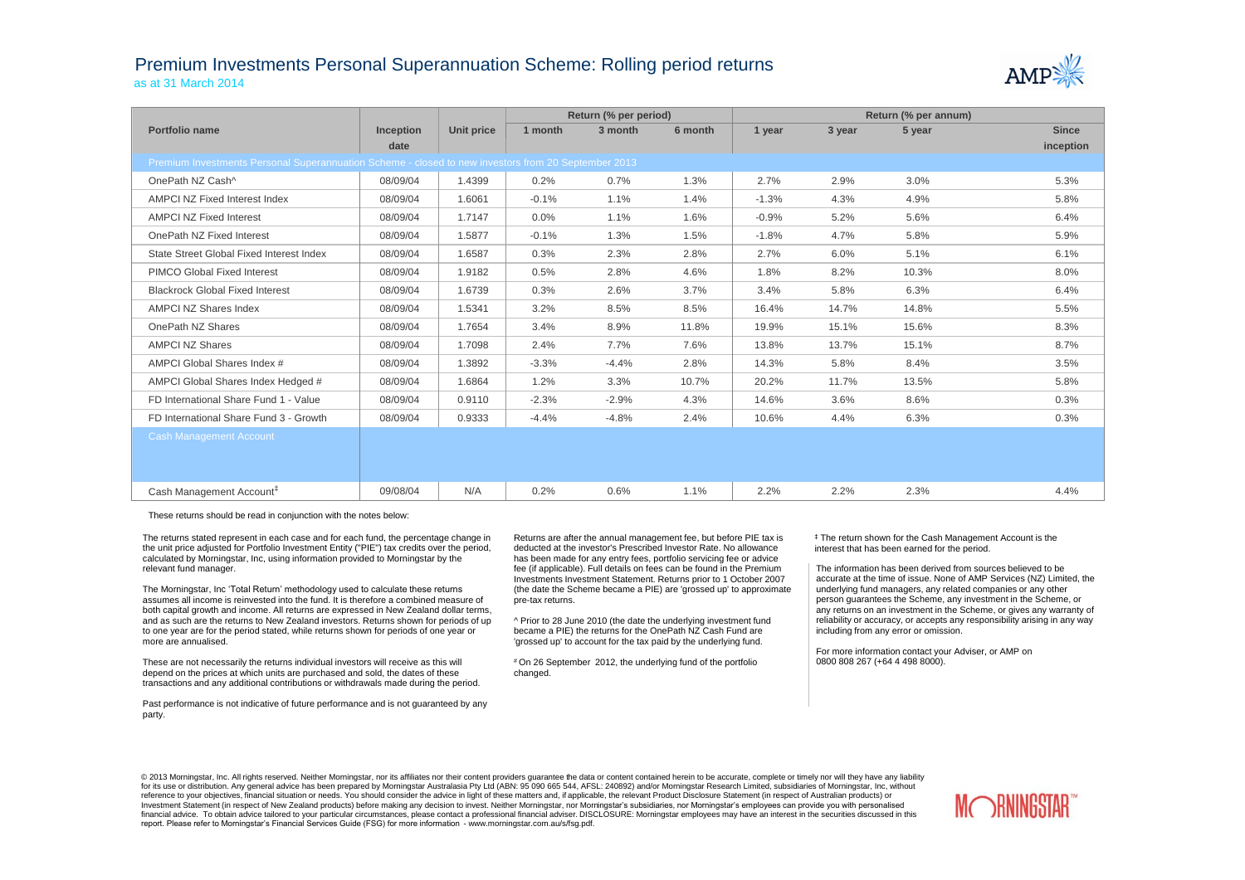## Premium Investments Personal Superannuation Scheme: Rolling period returns as at 31 March 2014



|                                                                                                     | Return (% per period) |            |         |         | Return (% per annum) |         |        |        |              |
|-----------------------------------------------------------------------------------------------------|-----------------------|------------|---------|---------|----------------------|---------|--------|--------|--------------|
| Portfolio name                                                                                      | <b>Inception</b>      | Unit price | 1 month | 3 month | 6 month              | 1 year  | 3 year | 5 year | <b>Since</b> |
|                                                                                                     | date                  |            |         |         |                      |         |        |        | inception    |
| Premium Investments Personal Superannuation Scheme - closed to new investors from 20 September 2013 |                       |            |         |         |                      |         |        |        |              |
| OnePath NZ Cash^                                                                                    | 08/09/04              | 1.4399     | 0.2%    | 0.7%    | 1.3%                 | 2.7%    | 2.9%   | 3.0%   | 5.3%         |
| AMPCI NZ Fixed Interest Index                                                                       | 08/09/04              | 1.6061     | $-0.1%$ | 1.1%    | 1.4%                 | $-1.3%$ | 4.3%   | 4.9%   | 5.8%         |
| <b>AMPCI NZ Fixed Interest</b>                                                                      | 08/09/04              | 1.7147     | 0.0%    | 1.1%    | 1.6%                 | $-0.9%$ | 5.2%   | 5.6%   | 6.4%         |
| OnePath NZ Fixed Interest                                                                           | 08/09/04              | 1.5877     | $-0.1%$ | 1.3%    | 1.5%                 | $-1.8%$ | 4.7%   | 5.8%   | 5.9%         |
| State Street Global Fixed Interest Index                                                            | 08/09/04              | 1.6587     | 0.3%    | 2.3%    | 2.8%                 | 2.7%    | 6.0%   | 5.1%   | 6.1%         |
| <b>PIMCO Global Fixed Interest</b>                                                                  | 08/09/04              | 1.9182     | 0.5%    | 2.8%    | 4.6%                 | 1.8%    | 8.2%   | 10.3%  | 8.0%         |
| <b>Blackrock Global Fixed Interest</b>                                                              | 08/09/04              | 1.6739     | 0.3%    | 2.6%    | 3.7%                 | 3.4%    | 5.8%   | 6.3%   | 6.4%         |
| AMPCI NZ Shares Index                                                                               | 08/09/04              | 1.5341     | 3.2%    | 8.5%    | 8.5%                 | 16.4%   | 14.7%  | 14.8%  | 5.5%         |
| OnePath NZ Shares                                                                                   | 08/09/04              | 1.7654     | 3.4%    | 8.9%    | 11.8%                | 19.9%   | 15.1%  | 15.6%  | 8.3%         |
| <b>AMPCI NZ Shares</b>                                                                              | 08/09/04              | 1.7098     | 2.4%    | 7.7%    | 7.6%                 | 13.8%   | 13.7%  | 15.1%  | 8.7%         |
| AMPCI Global Shares Index #                                                                         | 08/09/04              | 1.3892     | $-3.3%$ | $-4.4%$ | 2.8%                 | 14.3%   | 5.8%   | 8.4%   | 3.5%         |
| AMPCI Global Shares Index Hedged #                                                                  | 08/09/04              | 1.6864     | 1.2%    | 3.3%    | 10.7%                | 20.2%   | 11.7%  | 13.5%  | 5.8%         |
| FD International Share Fund 1 - Value                                                               | 08/09/04              | 0.9110     | $-2.3%$ | $-2.9%$ | 4.3%                 | 14.6%   | 3.6%   | 8.6%   | 0.3%         |
| FD International Share Fund 3 - Growth                                                              | 08/09/04              | 0.9333     | $-4.4%$ | $-4.8%$ | 2.4%                 | 10.6%   | 4.4%   | 6.3%   | 0.3%         |
| <b>Cash Management Account</b>                                                                      |                       |            |         |         |                      |         |        |        |              |
|                                                                                                     |                       |            |         |         |                      |         |        |        |              |
|                                                                                                     |                       |            |         |         |                      |         |        |        |              |
| Cash Management Account <sup>#</sup>                                                                | 09/08/04              | N/A        | 0.2%    | 0.6%    | 1.1%                 | 2.2%    | 2.2%   | 2.3%   | 4.4%         |

These returns should be read in conjunction with the notes below:

The returns stated represent in each case and for each fund, the percentage change in the unit price adjusted for Portfolio Investment Entity ("PIE") tax credits over the period, calculated by Morningstar, Inc, using information provided to Morningstar by the relevant fund manager.

The Morningstar, Inc 'Total Return' methodology used to calculate these returns assumes all income is reinvested into the fund. It is therefore a combined measure of both capital growth and income. All returns are expressed in New Zealand dollar terms, and as such are the returns to New Zealand investors. Returns shown for periods of up to one year are for the period stated, while returns shown for periods of one year or more are annualised.

These are not necessarily the returns individual investors will receive as this will depend on the prices at which units are purchased and sold, the dates of these transactions and any additional contributions or withdrawals made during the period.

Past performance is not indicative of future performance and is not guaranteed by any party.

Returns are after the annual management fee, but before PIE tax is deducted at the investor's Prescribed Investor Rate. No allowance has been made for any entry fees, portfolio servicing fee or advice fee (if applicable). Full details on fees can be found in the Premium Investments Investment Statement. Returns prior to 1 October 2007 (the date the Scheme became a PIE) are 'grossed up' to approximate pre-tax returns.

^ Prior to 28 June 2010 (the date the underlying investment fund became a PIE) the returns for the OnePath NZ Cash Fund are 'grossed up' to account for the tax paid by the underlying fund.

# On 26 September 2012, the underlying fund of the portfolio changed.

‡ The return shown for the Cash Management Account is the interest that has been earned for the period.

The information has been derived from sources believed to be accurate at the time of issue. None of AMP Services (NZ) Limited, the underlying fund managers, any related companies or any other person guarantees the Scheme, any investment in the Scheme, or any returns on an investment in the Scheme, or gives any warranty of reliability or accuracy, or accepts any responsibility arising in any way including from any error or omission.

For more information contact your Adviser, or AMP on 0800 808 267 (+64 4 498 8000).

© 2013 Morningstar, Inc. All rights reserved. Neither Morningstar, nor its affiliates nor their content providers quarantee the data or content contained herein to be accurate, complete or timely nor will they have any lia for its use or distribution. Any general advice has been prepared by Morningstar Australasia Pty Ltd (ABN: 95 090 665 544, AFSL: 240892) and/or Morningstar Research Limited, subsidiaries of Morningstar, Inc, without reference to your objectives, financial situation or needs. You should consider the advice in light of these matters and, if applicable, the relevant Product Disclosure Statement (in respect of Australian products) or Investment Statement (in respect of New Zealand products) before making any decision to invest. Neither Morningstar, nor Morningstar's subsidiaries, nor Morningstar's employees can provide you with personalised financial advice. To obtain advice tailored to your particular circumstances, please contact a professional financial adviser. DISCLOSURE: Morningstar employees may have an interest in the securities discussed in this report. Please refer to Morningstar's Financial Services Guide (FSG) for more information - www.morningstar.com.au/s/fsg.pdf.